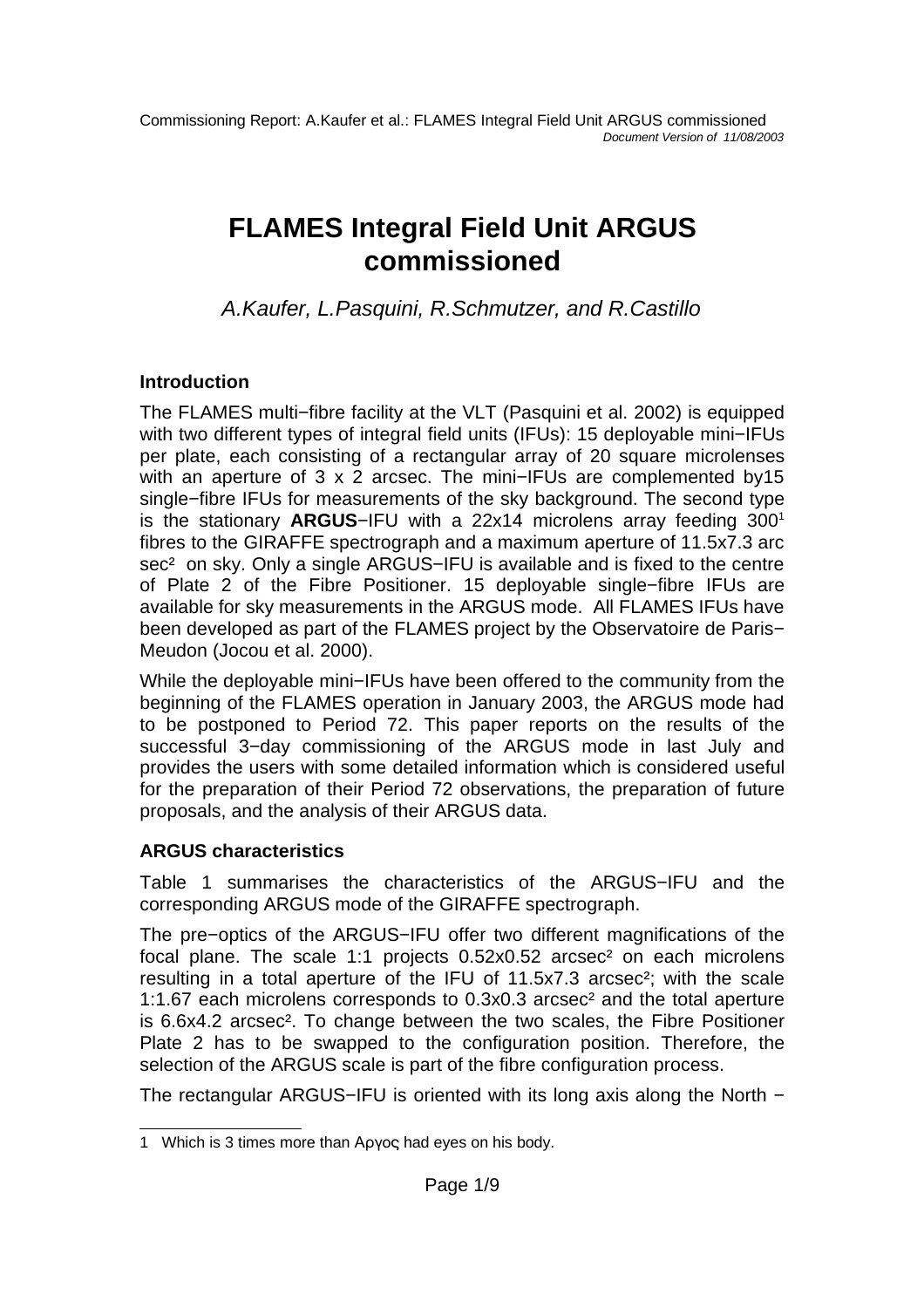# **FLAMES Integral Field Unit ARGUS commissioned**

A.Kaufer, L.Pasquini, R.Schmutzer, and R.Castillo

# **Introduction**

The FLAMES multi−fibre facility at the VLT (Pasquini et al. 2002) is equipped with two different types of integral field units (IFUs): 15 deployable mini–IFUs per plate, each consisting of a rectangular array of 20 square microlenses with an aperture of 3 x 2 arcsec. The mini–IFUs are complemented by15 single−fibre IFUs for measurements of the sky background. The second type is the stationary **ARGUS**−IFU with a 22x14 microlens array feeding 300 1 fibres to the GIRAFFE spectrograph and a maximum aperture of 11.5x7.3 arc sec<sup>2</sup> on sky. Only a single ARGUS–IFU is available and is fixed to the centre of Plate 2 of the Fibre Positioner. 15 deployable single−fibre IFUs are available for sky measurements in the ARGUS mode. All FLAMES IFUs have been developed as part of the FLAMES project by the Observatoire de Paris− Meudon (Jocou et al. 2000).

While the deployable mini−IFUs have been offered to the community from the beginning of the FLAMES operation in January 2003, the ARGUS mode had to be postponed to Period 72. This paper reports on the results of the successful 3−day commissioning of the ARGUS mode in last July and provides the users with some detailed information which is considered useful for the preparation of their Period 72 observations, the preparation of future proposals, and the analysis of their ARGUS data.

# **ARGUS characteristics**

Table 1 summarises the characteristics of the ARGUS−IFU and the corresponding ARGUS mode of the GIRAFFE spectrograph.

The pre−optics of the ARGUS−IFU offer two different magnifications of the focal plane. The scale 1:1 projects 0.52x0.52 arcsec² on each microlens resulting in a total aperture of the IFU of 11.5x7.3 arcsec²; with the scale 1:1.67 each microlens corresponds to 0.3x0.3 arcsec² and the total aperture is 6.6x4.2 arcsec². To change between the two scales, the Fibre Positioner Plate 2 has to be swapped to the configuration position. Therefore, the selection of the ARGUS scale is part of the fibre configuration process.

The rectangular ARGUS–IFU is oriented with its long axis along the North −

<sup>1</sup> Which is 3 times more than Apyoc had eyes on his body.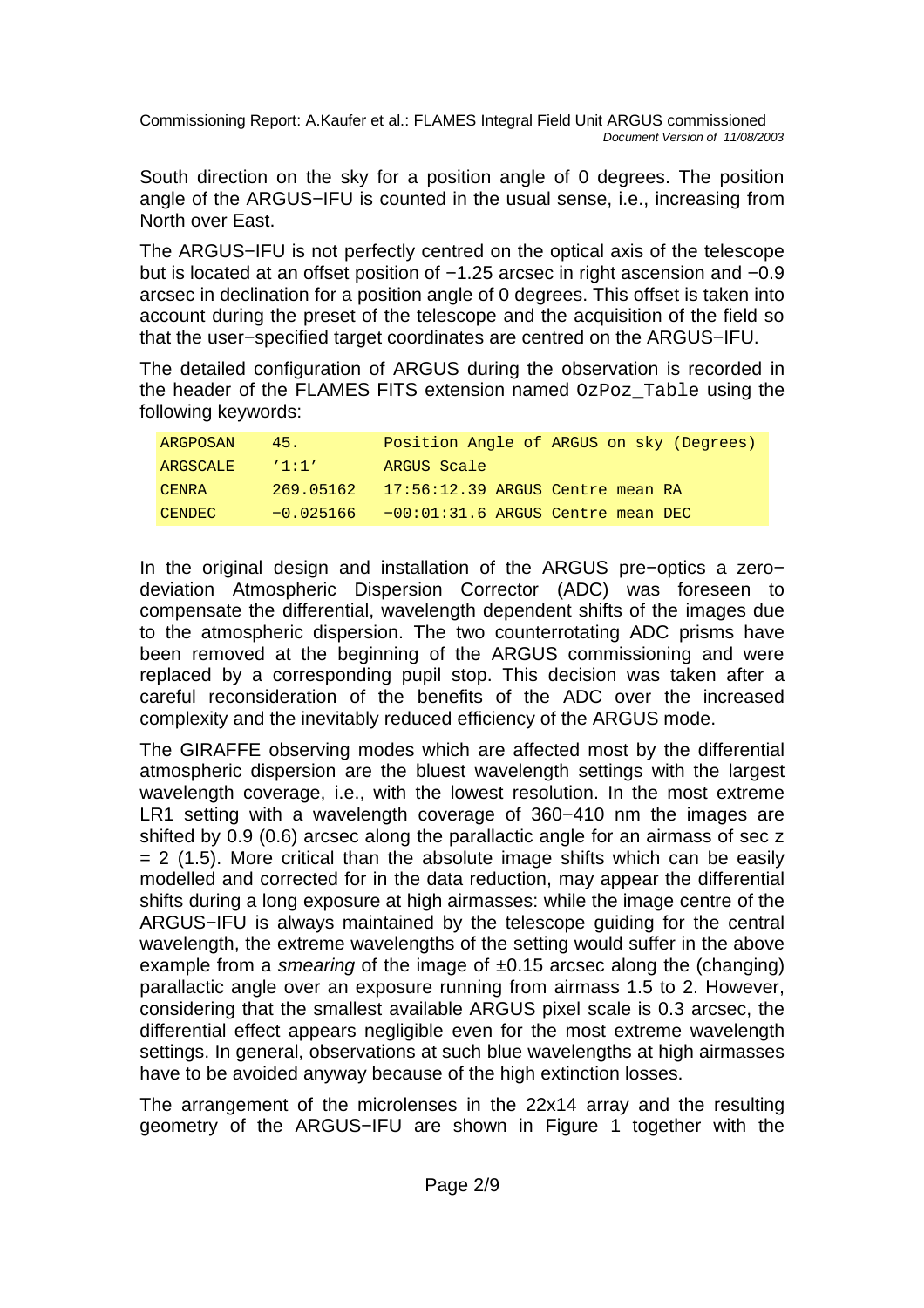South direction on the sky for a position angle of 0 degrees. The position angle of the ARGUS−IFU is counted in the usual sense, i.e., increasing from North over East.

The ARGUS−IFU is not perfectly centred on the optical axis of the telescope but is located at an offset position of −1.25 arcsec in right ascension and −0.9 arcsec in declination for a position angle of 0 degrees. This offset is taken into account during the preset of the telescope and the acquisition of the field so that the user−specified target coordinates are centred on the ARGUS−IFU.

The detailed configuration of ARGUS during the observation is recorded in the header of the FLAMES FITS extension named OzPoz\_Table using the following keywords:

| ARGPOSAN      | 45.7      | Position Angle of ARGUS on sky (Degrees)       |
|---------------|-----------|------------------------------------------------|
| ARGSCALE      | 11:11     | ARGUS Scale                                    |
| CENRA         | 269.05162 | $17:56:12.39$ ARGUS Centre mean RA             |
| <b>CENDEC</b> |           | $-0.025166 - 00:01:31.6$ ARGUS Centre mean DEC |

In the original design and installation of the ARGUS pre−optics a zero− deviation Atmospheric Dispersion Corrector (ADC) was foreseen to compensate the differential, wavelength dependent shifts of the images due to the atmospheric dispersion. The two counterrotating ADC prisms have been removed at the beginning of the ARGUS commissioning and were replaced by a corresponding pupil stop. This decision was taken after a careful reconsideration of the benefits of the ADC over the increased complexity and the inevitably reduced efficiency of the ARGUS mode.

The GIRAFFE observing modes which are affected most by the differential atmospheric dispersion are the bluest wavelength settings with the largest wavelength coverage, i.e., with the lowest resolution. In the most extreme LR1 setting with a wavelength coverage of 360−410 nm the images are shifted by 0.9 (0.6) arcsec along the parallactic angle for an airmass of sec z  $= 2$  (1.5). More critical than the absolute image shifts which can be easily modelled and corrected for in the data reduction, may appear the differential shifts during a long exposure at high airmasses: while the image centre of the ARGUS−IFU is always maintained by the telescope guiding for the central wavelength, the extreme wavelengths of the setting would suffer in the above example from a smearing of the image of  $\pm 0.15$  arcsec along the (changing) parallactic angle over an exposure running from airmass 1.5 to 2. However, considering that the smallest available ARGUS pixel scale is 0.3 arcsec, the differential effect appears negligible even for the most extreme wavelength settings. In general, observations at such blue wavelengths at high airmasses have to be avoided anyway because of the high extinction losses.

The arrangement of the microlenses in the 22x14 array and the resulting geometry of the ARGUS−IFU are shown in Figure 1 together with the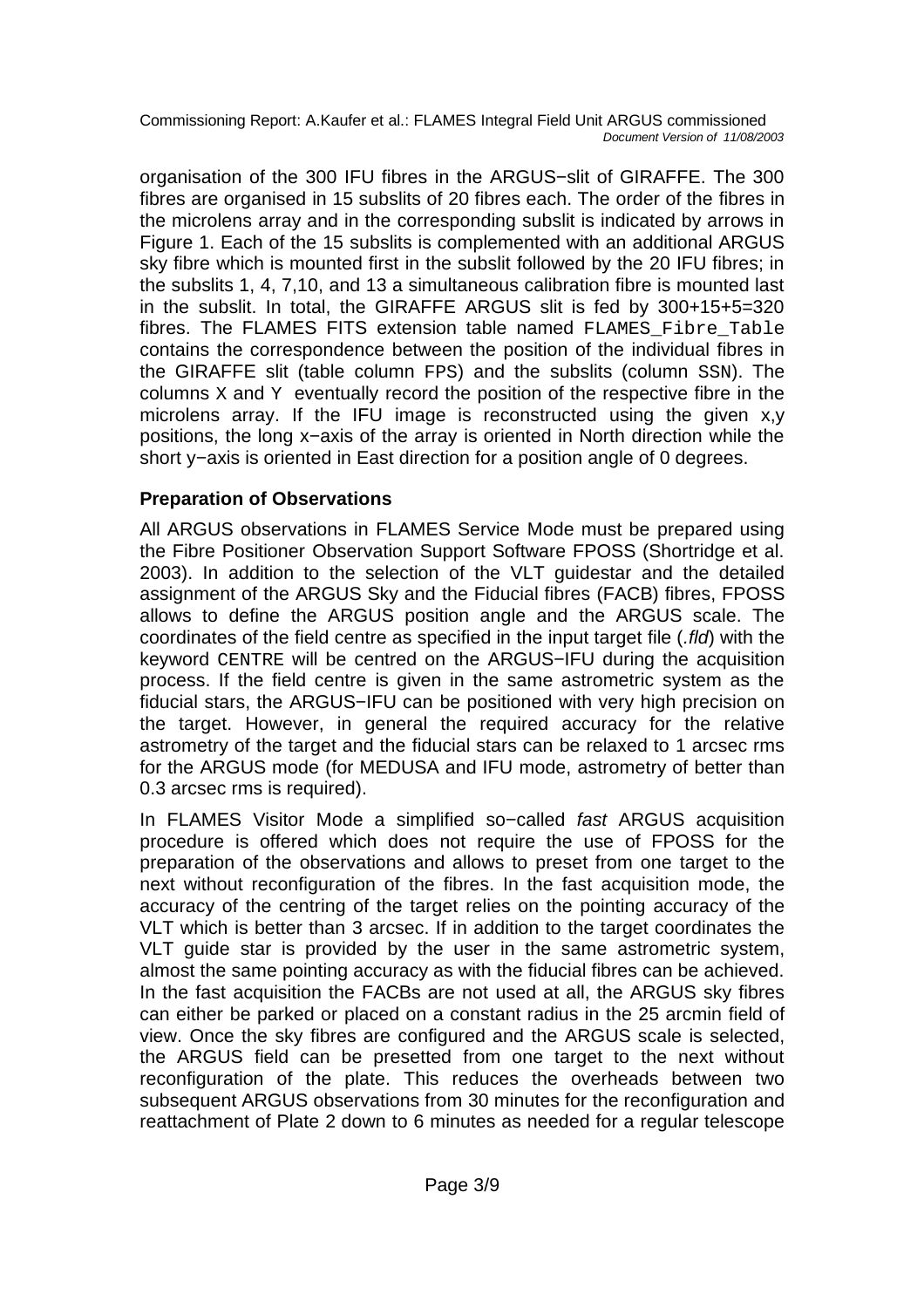organisation of the 300 IFU fibres in the ARGUS−slit of GIRAFFE. The 300 fibres are organised in 15 subslits of 20 fibres each. The order of the fibres in the microlens array and in the corresponding subslit is indicated by arrows in Figure 1. Each of the 15 subslits is complemented with an additional ARGUS sky fibre which is mounted first in the subslit followed by the 20 IFU fibres; in the subslits 1, 4, 7,10, and 13 a simultaneous calibration fibre is mounted last in the subslit. In total, the GIRAFFE ARGUS slit is fed by 300+15+5=320 fibres. The FLAMES FITS extension table named FLAMES\_Fibre\_Table contains the correspondence between the position of the individual fibres in the GIRAFFE slit (table column FPS) and the subslits (column SSN). The columns X and Y eventually record the position of the respective fibre in the microlens array. If the IFU image is reconstructed using the given x,y positions, the long x−axis of the array is oriented in North direction while the short y−axis is oriented in East direction for a position angle of 0 degrees.

# **Preparation of Observations**

All ARGUS observations in FLAMES Service Mode must be prepared using the Fibre Positioner Observation Support Software FPOSS (Shortridge et al. 2003). In addition to the selection of the VLT guidestar and the detailed assignment of the ARGUS Sky and the Fiducial fibres (FACB) fibres, FPOSS allows to define the ARGUS position angle and the ARGUS scale. The coordinates of the field centre as specified in the input target file (.fld) with the keyword CENTRE will be centred on the ARGUS−IFU during the acquisition process. If the field centre is given in the same astrometric system as the fiducial stars, the ARGUS−IFU can be positioned with very high precision on the target. However, in general the required accuracy for the relative astrometry of the target and the fiducial stars can be relaxed to 1 arcsec rms for the ARGUS mode (for MEDUSA and IFU mode, astrometry of better than 0.3 arcsec rms is required).

In FLAMES Visitor Mode a simplified so−called fast ARGUS acquisition procedure is offered which does not require the use of FPOSS for the preparation of the observations and allows to preset from one target to the next without reconfiguration of the fibres. In the fast acquisition mode, the accuracy of the centring of the target relies on the pointing accuracy of the VLT which is better than 3 arcsec. If in addition to the target coordinates the VLT guide star is provided by the user in the same astrometric system, almost the same pointing accuracy as with the fiducial fibres can be achieved. In the fast acquisition the FACBs are not used at all, the ARGUS sky fibres can either be parked or placed on a constant radius in the 25 arcmin field of view. Once the sky fibres are configured and the ARGUS scale is selected, the ARGUS field can be presetted from one target to the next without reconfiguration of the plate. This reduces the overheads between two subsequent ARGUS observations from 30 minutes for the reconfiguration and reattachment of Plate 2 down to 6 minutes as needed for a regular telescope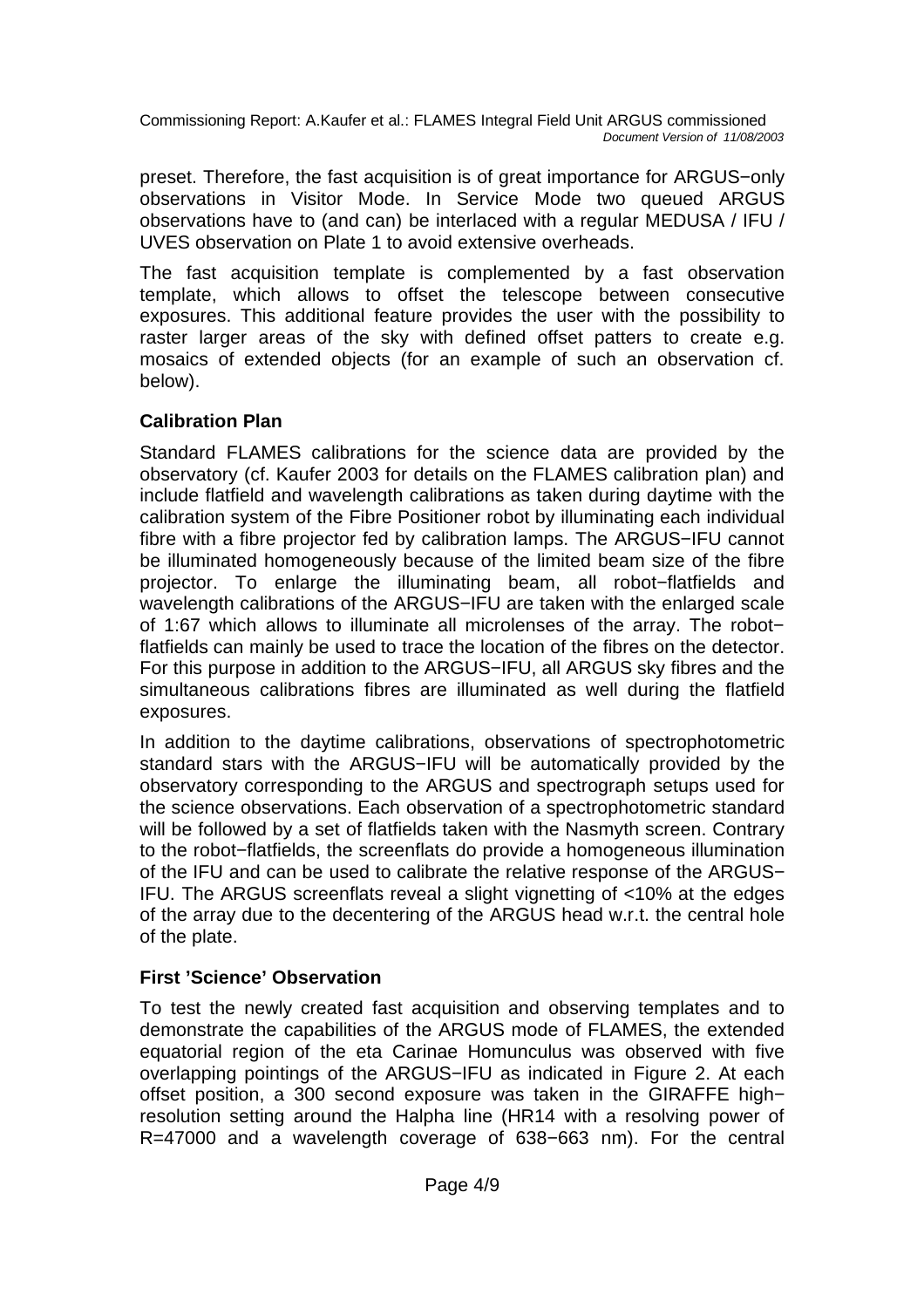preset. Therefore, the fast acquisition is of great importance for ARGUS−only observations in Visitor Mode. In Service Mode two queued ARGUS observations have to (and can) be interlaced with a regular MEDUSA / IFU / UVES observation on Plate 1 to avoid extensive overheads.

The fast acquisition template is complemented by a fast observation template, which allows to offset the telescope between consecutive exposures. This additional feature provides the user with the possibility to raster larger areas of the sky with defined offset patters to create e.g. mosaics of extended objects (for an example of such an observation cf. below).

## **Calibration Plan**

Standard FLAMES calibrations for the science data are provided by the observatory (cf. Kaufer 2003 for details on the FLAMES calibration plan) and include flatfield and wavelength calibrations as taken during daytime with the calibration system of the Fibre Positioner robot by illuminating each individual fibre with a fibre projector fed by calibration lamps. The ARGUS−IFU cannot be illuminated homogeneously because of the limited beam size of the fibre projector. To enlarge the illuminating beam, all robot−flatfields and wavelength calibrations of the ARGUS-IFU are taken with the enlarged scale of 1:67 which allows to illuminate all microlenses of the array. The robot− flatfields can mainly be used to trace the location of the fibres on the detector. For this purpose in addition to the ARGUS−IFU, all ARGUS sky fibres and the simultaneous calibrations fibres are illuminated as well during the flatfield exposures.

In addition to the daytime calibrations, observations of spectrophotometric standard stars with the ARGUS−IFU will be automatically provided by the observatory corresponding to the ARGUS and spectrograph setups used for the science observations. Each observation of a spectrophotometric standard will be followed by a set of flatfields taken with the Nasmyth screen. Contrary to the robot−flatfields, the screenflats do provide a homogeneous illumination of the IFU and can be used to calibrate the relative response of the ARGUS− IFU. The ARGUS screenflats reveal a slight vignetting of <10% at the edges of the array due to the decentering of the ARGUS head w.r.t. the central hole of the plate.

## **First 'Science' Observation**

To test the newly created fast acquisition and observing templates and to demonstrate the capabilities of the ARGUS mode of FLAMES, the extended equatorial region of the eta Carinae Homunculus was observed with five overlapping pointings of the ARGUS−IFU as indicated in Figure 2. At each offset position, a 300 second exposure was taken in the GIRAFFE high− resolution setting around the Halpha line (HR14 with a resolving power of R=47000 and a wavelength coverage of 638−663 nm). For the central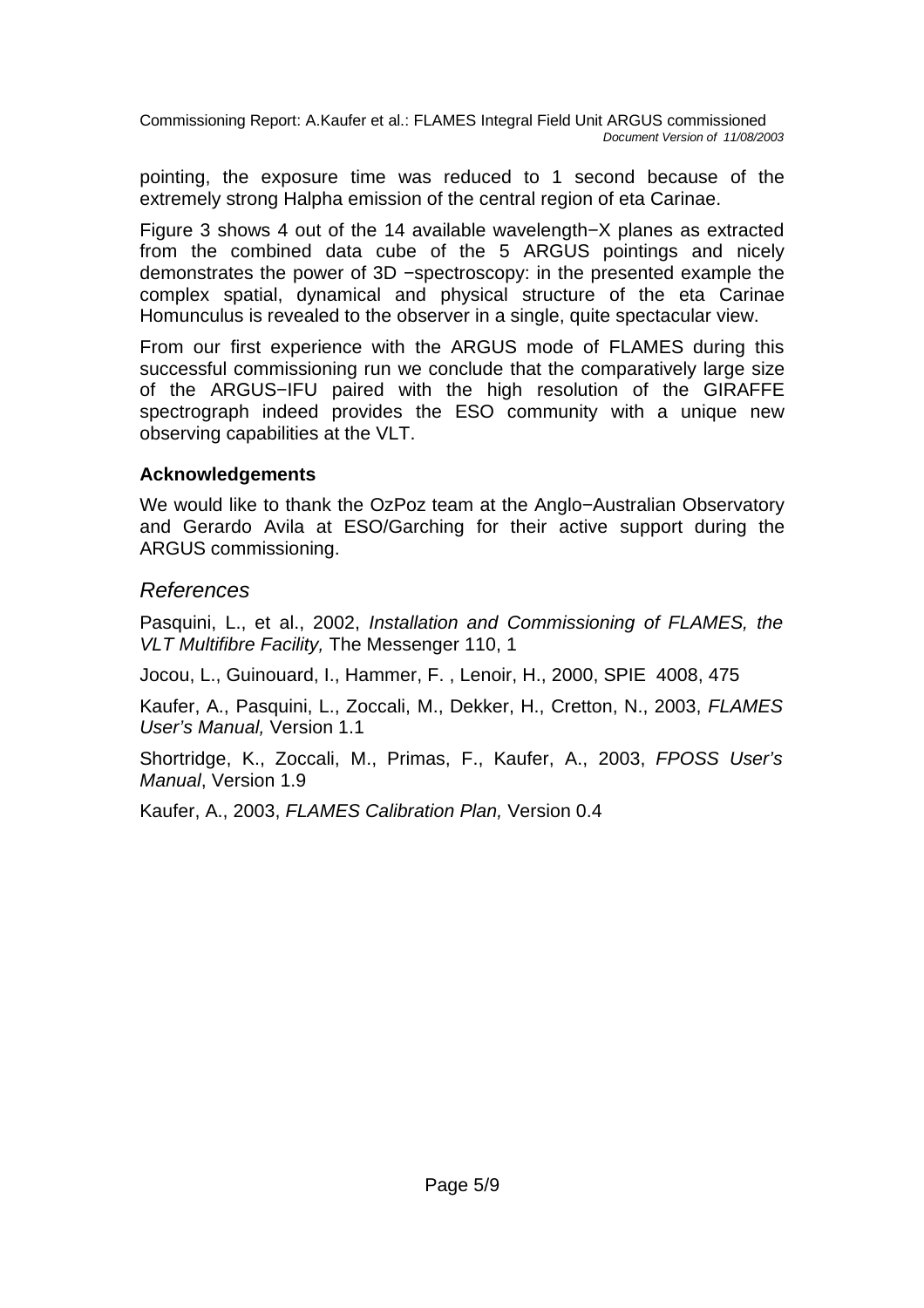pointing, the exposure time was reduced to 1 second because of the extremely strong Halpha emission of the central region of eta Carinae.

Figure 3 shows 4 out of the 14 available wavelength−X planes as extracted from the combined data cube of the 5 ARGUS pointings and nicely demonstrates the power of 3D −spectroscopy: in the presented example the complex spatial, dynamical and physical structure of the eta Carinae Homunculus is revealed to the observer in a single, quite spectacular view.

From our first experience with the ARGUS mode of FLAMES during this successful commissioning run we conclude that the comparatively large size of the ARGUS−IFU paired with the high resolution of the GIRAFFE spectrograph indeed provides the ESO community with a unique new observing capabilities at the VLT.

#### **Acknowledgements**

We would like to thank the OzPoz team at the Anglo−Australian Observatory and Gerardo Avila at ESO/Garching for their active support during the ARGUS commissioning.

## References

Pasquini, L., et al., 2002, Installation and Commissioning of FLAMES, the VLT Multifibre Facility, The Messenger 110, 1

Jocou, L., Guinouard, I., Hammer, F. , Lenoir, H., 2000, SPIE 4008, 475

Kaufer, A., Pasquini, L., Zoccali, M., Dekker, H., Cretton, N., 2003, FLAMES User's Manual, Version 1.1

Shortridge, K., Zoccali, M., Primas, F., Kaufer, A., 2003, FPOSS User's Manual, Version 1.9

Kaufer, A., 2003, FLAMES Calibration Plan, Version 0.4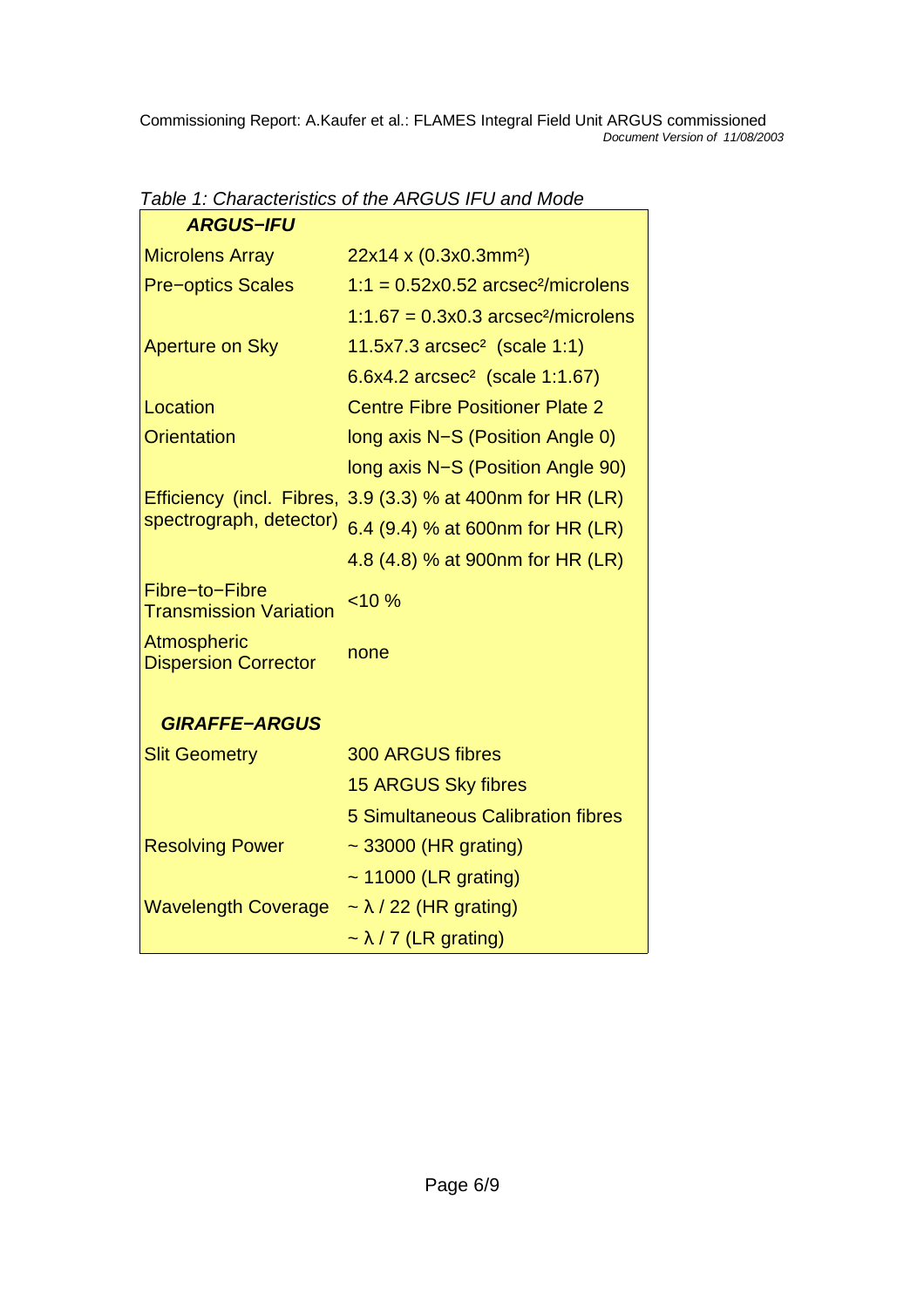| <b>ARGUS-IFU</b>                                |                                                         |
|-------------------------------------------------|---------------------------------------------------------|
| <b>Microlens Array</b>                          | 22x14 x (0.3x0.3mm <sup>2</sup> )                       |
| <b>Pre-optics Scales</b>                        | $1:1 = 0.52 \times 0.52$ arcsec <sup>2</sup> /microlens |
|                                                 | $1:1.67 = 0.3x0.3$ arcsec <sup>2</sup> /microlens       |
| <b>Aperture on Sky</b>                          | 11.5x7.3 $arcsec^2$ (scale 1:1)                         |
|                                                 | $6.6x4.2 \,\text{arcsec}^2$ (scale 1:1.67)              |
| Location                                        | <b>Centre Fibre Positioner Plate 2</b>                  |
| <b>Orientation</b>                              | long axis N-S (Position Angle 0)                        |
|                                                 | long axis N-S (Position Angle 90)                       |
| Efficiency (incl. Fibres,                       | 3.9 (3.3) % at 400nm for HR (LR)                        |
| spectrograph, detector)                         | 6.4 (9.4) % at 600nm for HR (LR)                        |
|                                                 | 4.8 (4.8) % at 900nm for HR (LR)                        |
| Fibre-to-Fibre<br><b>Transmission Variation</b> | < 10%                                                   |
| Atmospheric<br><b>Dispersion Corrector</b>      | none                                                    |
| <b>GIRAFFE-ARGUS</b>                            |                                                         |
| <b>Slit Geometry</b>                            | <b>300 ARGUS fibres</b>                                 |
|                                                 | <b>15 ARGUS Sky fibres</b>                              |
|                                                 | <b>5 Simultaneous Calibration fibres</b>                |
| <b>Resolving Power</b>                          | ~ 33000 (HR grating)                                    |
|                                                 | $\sim$ 11000 (LR grating)                               |
| <b>Wavelength Coverage</b>                      | $\sim \lambda$ / 22 (HR grating)                        |
|                                                 | $\sim \lambda$ / 7 (LR grating)                         |

Table 1: Characteristics of the ARGUS IFU and Mode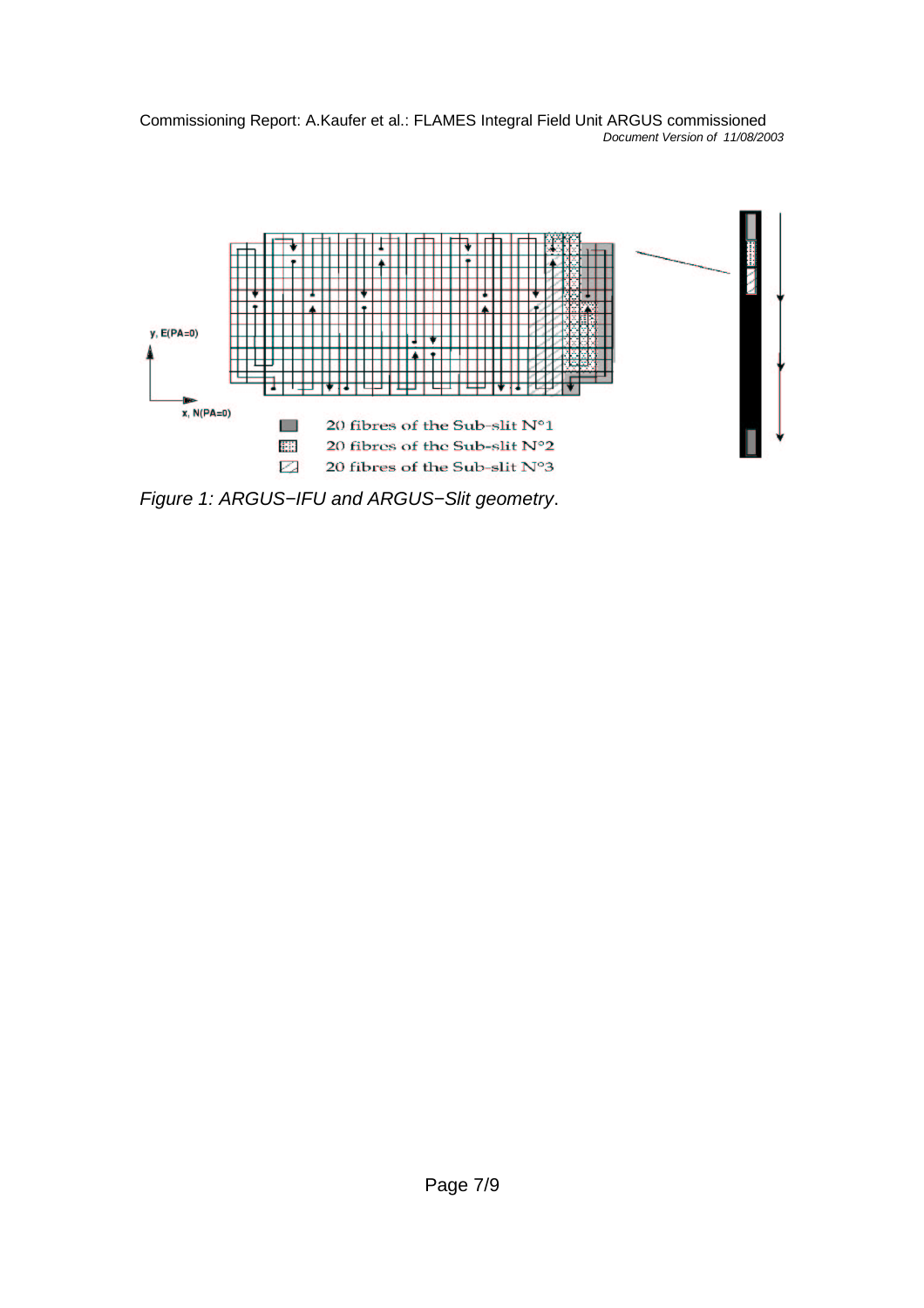

Figure 1: ARGUS−IFU and ARGUS−Slit geometry.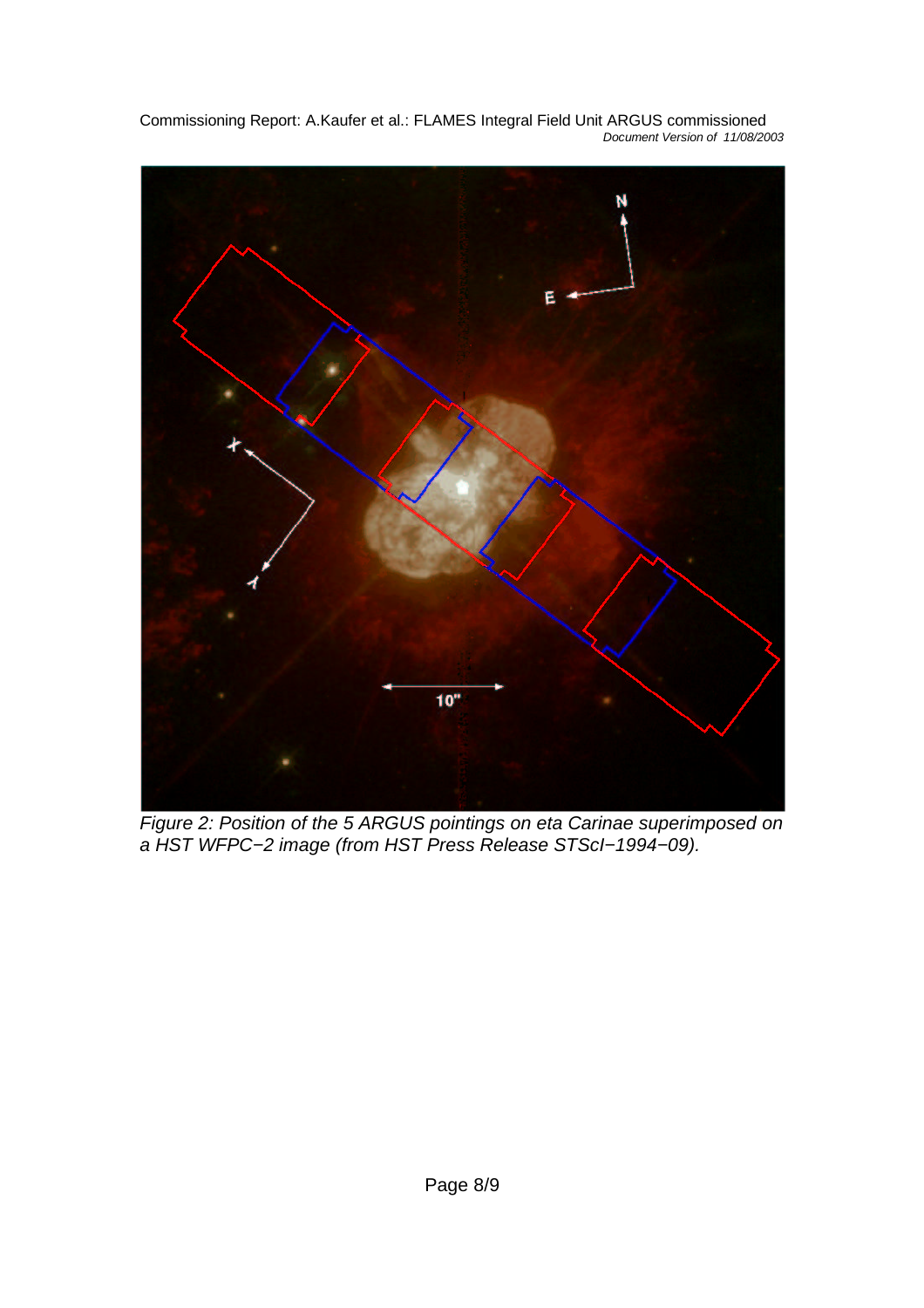N Ē  $10"$ 

Commissioning Report: A.Kaufer et al.: FLAMES Integral Field Unit ARGUS commissioned Document Version of 11/08/2003

Figure 2: Position of the 5 ARGUS pointings on eta Carinae superimposed on a HST WFPC−2 image (from HST Press Release STScI−1994−09).